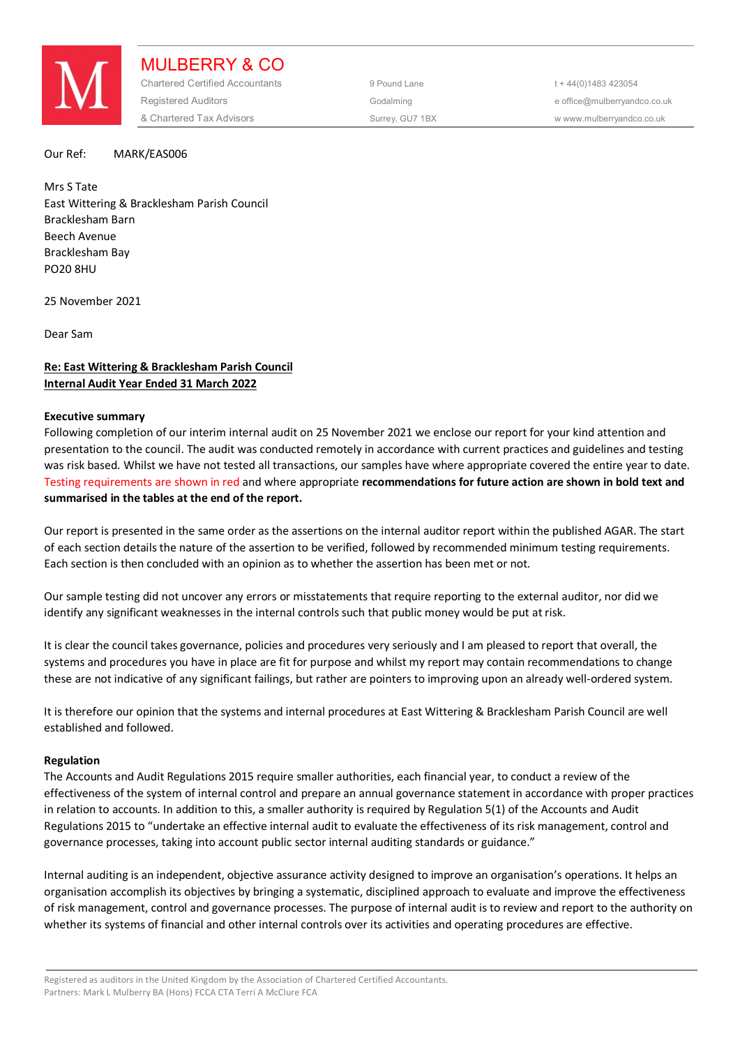

MULBERRY & CO Chartered Certified Accountants 9 Pound Lane 5 and the 44(0) 1483 423054 Registered Auditors and the Codalming Codalming and the office@mulberryandco.co.uk & Chartered Tax Advisors Surrey, GU7 1BX w www.mulberryandco.co.uk

Our Ref: MARK/EAS006

Mrs S Tate East Wittering & Bracklesham Parish Council Bracklesham Barn Beech Avenue Bracklesham Bay PO20 8HU

25 November 2021

Dear Sam

# **Re: East Wittering & Bracklesham Parish Council Internal Audit Year Ended 31 March 2022**

# **Executive summary**

Following completion of our interim internal audit on 25 November 2021 we enclose our report for your kind attention and presentation to the council. The audit was conducted remotely in accordance with current practices and guidelines and testing was risk based. Whilst we have not tested all transactions, our samples have where appropriate covered the entire year to date. Testing requirements are shown in red and where appropriate **recommendations for future action are shown in bold text and summarised in the tables at the end of the report.** 

Our report is presented in the same order as the assertions on the internal auditor report within the published AGAR. The start of each section details the nature of the assertion to be verified, followed by recommended minimum testing requirements. Each section is then concluded with an opinion as to whether the assertion has been met or not.

Our sample testing did not uncover any errors or misstatements that require reporting to the external auditor, nor did we identify any significant weaknesses in the internal controls such that public money would be put at risk.

It is clear the council takes governance, policies and procedures very seriously and I am pleased to report that overall, the systems and procedures you have in place are fit for purpose and whilst my report may contain recommendations to change these are not indicative of any significant failings, but rather are pointers to improving upon an already well-ordered system.

It is therefore our opinion that the systems and internal procedures at East Wittering & Bracklesham Parish Council are well established and followed.

# **Regulation**

The Accounts and Audit Regulations 2015 require smaller authorities, each financial year, to conduct a review of the effectiveness of the system of internal control and prepare an annual governance statement in accordance with proper practices in relation to accounts. In addition to this, a smaller authority is required by Regulation 5(1) of the Accounts and Audit Regulations 2015 to "undertake an effective internal audit to evaluate the effectiveness of its risk management, control and governance processes, taking into account public sector internal auditing standards or guidance."

Internal auditing is an independent, objective assurance activity designed to improve an organisation's operations. It helps an organisation accomplish its objectives by bringing a systematic, disciplined approach to evaluate and improve the effectiveness of risk management, control and governance processes. The purpose of internal audit is to review and report to the authority on whether its systems of financial and other internal controls over its activities and operating procedures are effective.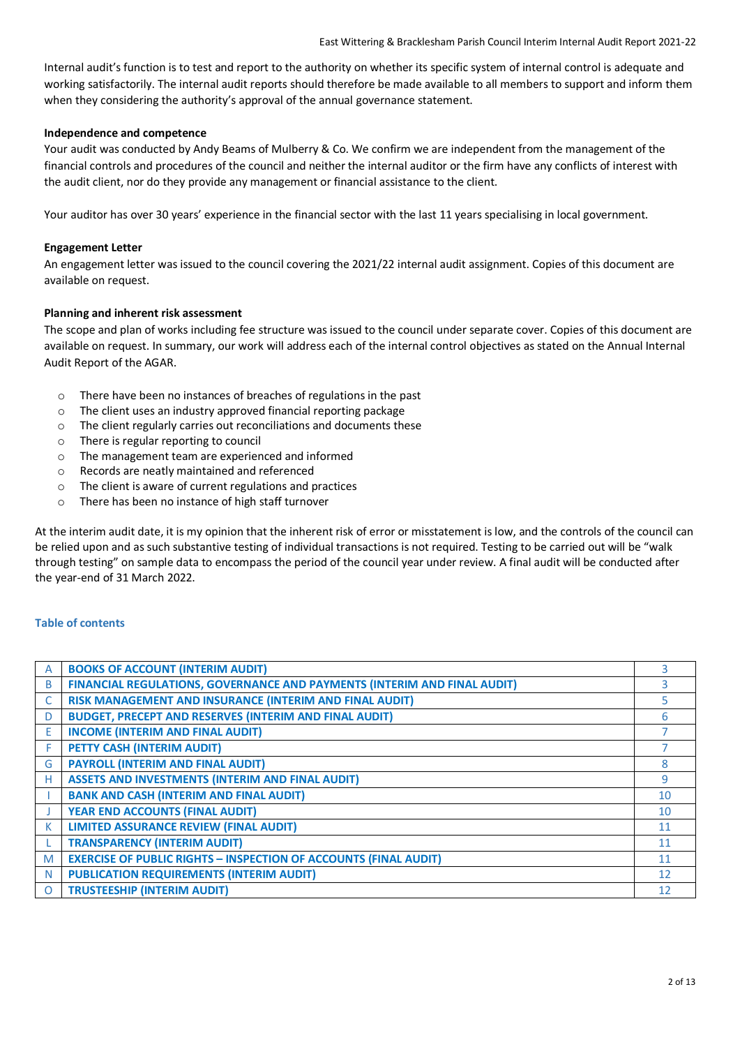Internal audit's function is to test and report to the authority on whether its specific system of internal control is adequate and working satisfactorily. The internal audit reports should therefore be made available to all members to support and inform them when they considering the authority's approval of the annual governance statement.

# **Independence and competence**

Your audit was conducted by Andy Beams of Mulberry & Co. We confirm we are independent from the management of the financial controls and procedures of the council and neither the internal auditor or the firm have any conflicts of interest with the audit client, nor do they provide any management or financial assistance to the client.

Your auditor has over 30 years' experience in the financial sector with the last 11 years specialising in local government.

# **Engagement Letter**

An engagement letter was issued to the council covering the 2021/22 internal audit assignment. Copies of this document are available on request.

# **Planning and inherent risk assessment**

The scope and plan of works including fee structure was issued to the council under separate cover. Copies of this document are available on request. In summary, our work will address each of the internal control objectives as stated on the Annual Internal Audit Report of the AGAR.

- o There have been no instances of breaches of regulations in the past
- o The client uses an industry approved financial reporting package
- o The client regularly carries out reconciliations and documents these
- o There is regular reporting to council
- o The management team are experienced and informed
- o Records are neatly maintained and referenced
- o The client is aware of current regulations and practices
- o There has been no instance of high staff turnover

At the interim audit date, it is my opinion that the inherent risk of error or misstatement is low, and the controls of the council can be relied upon and as such substantive testing of individual transactions is not required. Testing to be carried out will be "walk through testing" on sample data to encompass the period of the council year under review. A final audit will be conducted after the year-end of 31 March 2022.

# **Table of contents**

| A | <b>BOOKS OF ACCOUNT (INTERIM AUDIT)</b>                                  | 3  |
|---|--------------------------------------------------------------------------|----|
| B | FINANCIAL REGULATIONS, GOVERNANCE AND PAYMENTS (INTERIM AND FINAL AUDIT) | 3  |
|   | RISK MANAGEMENT AND INSURANCE (INTERIM AND FINAL AUDIT)                  |    |
| D | <b>BUDGET, PRECEPT AND RESERVES (INTERIM AND FINAL AUDIT)</b>            | 6  |
| E | <b>INCOME (INTERIM AND FINAL AUDIT)</b>                                  |    |
| F | PETTY CASH (INTERIM AUDIT)                                               |    |
| G | <b>PAYROLL (INTERIM AND FINAL AUDIT)</b>                                 | 8  |
| н | <b>ASSETS AND INVESTMENTS (INTERIM AND FINAL AUDIT)</b>                  | 9  |
|   | <b>BANK AND CASH (INTERIM AND FINAL AUDIT)</b>                           | 10 |
|   | <b>YEAR END ACCOUNTS (FINAL AUDIT)</b>                                   | 10 |
| К | <b>LIMITED ASSURANCE REVIEW (FINAL AUDIT)</b>                            | 11 |
|   | <b>TRANSPARENCY (INTERIM AUDIT)</b>                                      | 11 |
| M | <b>EXERCISE OF PUBLIC RIGHTS - INSPECTION OF ACCOUNTS (FINAL AUDIT)</b>  | 11 |
| N | <b>PUBLICATION REQUIREMENTS (INTERIM AUDIT)</b>                          | 12 |
| O | <b>TRUSTEESHIP (INTERIM AUDIT)</b>                                       | 12 |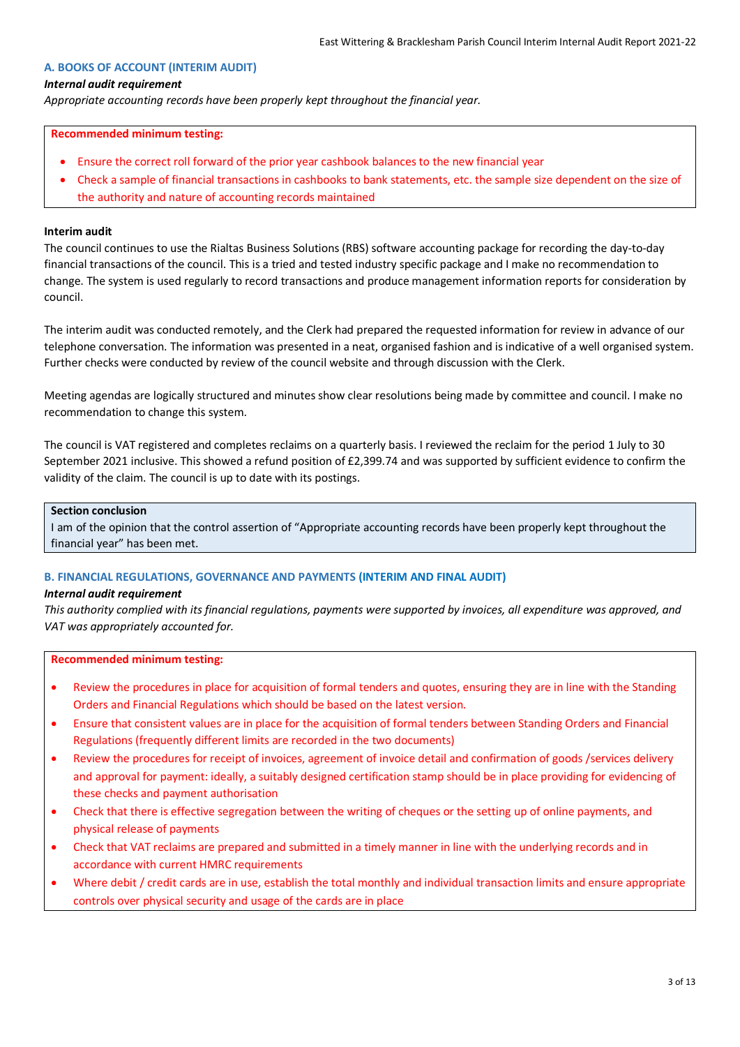# **A. BOOKS OF ACCOUNT (INTERIM AUDIT)**

### *Internal audit requirement*

*Appropriate accounting records have been properly kept throughout the financial year.*

#### **Recommended minimum testing:**

- Ensure the correct roll forward of the prior year cashbook balances to the new financial year
- Check a sample of financial transactions in cashbooks to bank statements, etc. the sample size dependent on the size of the authority and nature of accounting records maintained

### **Interim audit**

The council continues to use the Rialtas Business Solutions (RBS) software accounting package for recording the day-to-day financial transactions of the council. This is a tried and tested industry specific package and I make no recommendation to change. The system is used regularly to record transactions and produce management information reports for consideration by council.

The interim audit was conducted remotely, and the Clerk had prepared the requested information for review in advance of our telephone conversation. The information was presented in a neat, organised fashion and is indicative of a well organised system. Further checks were conducted by review of the council website and through discussion with the Clerk.

Meeting agendas are logically structured and minutes show clear resolutions being made by committee and council. I make no recommendation to change this system.

The council is VAT registered and completes reclaims on a quarterly basis. I reviewed the reclaim for the period 1 July to 30 September 2021 inclusive. This showed a refund position of £2,399.74 and was supported by sufficient evidence to confirm the validity of the claim. The council is up to date with its postings.

### **Section conclusion**

I am of the opinion that the control assertion of "Appropriate accounting records have been properly kept throughout the financial year" has been met.

# **B. FINANCIAL REGULATIONS, GOVERNANCE AND PAYMENTS (INTERIM AND FINAL AUDIT)**

#### *Internal audit requirement*

*This authority complied with its financial regulations, payments were supported by invoices, all expenditure was approved, and VAT was appropriately accounted for.*

#### **Recommended minimum testing:**

- Review the procedures in place for acquisition of formal tenders and quotes, ensuring they are in line with the Standing Orders and Financial Regulations which should be based on the latest version.
- Ensure that consistent values are in place for the acquisition of formal tenders between Standing Orders and Financial Regulations (frequently different limits are recorded in the two documents)
- Review the procedures for receipt of invoices, agreement of invoice detail and confirmation of goods /services delivery and approval for payment: ideally, a suitably designed certification stamp should be in place providing for evidencing of these checks and payment authorisation
- Check that there is effective segregation between the writing of cheques or the setting up of online payments, and physical release of payments
- Check that VAT reclaims are prepared and submitted in a timely manner in line with the underlying records and in accordance with current HMRC requirements
- Where debit / credit cards are in use, establish the total monthly and individual transaction limits and ensure appropriate controls over physical security and usage of the cards are in place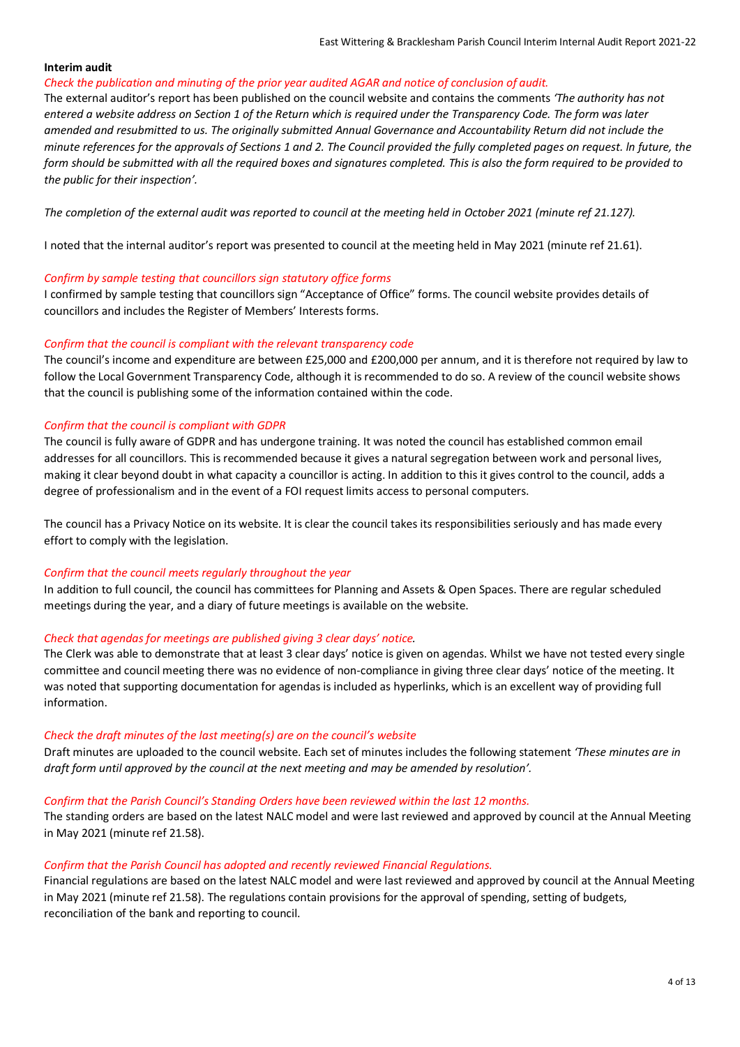# **Interim audit**

#### *Check the publication and minuting of the prior year audited AGAR and notice of conclusion of audit.*

The external auditor's report has been published on the council website and contains the comments *'The authority has not entered a website address on Section 1 of the Return which is required under the Transparency Code. The form was later amended and resubmitted to us. The originally submitted Annual Governance and Accountability Return did not include the minute references for the approvals of Sections 1 and 2. The Council provided the fully completed pages on request. ln future, the form should be submitted with all the required boxes and signatures completed. This is also the form required to be provided to the public for their inspection'.*

The completion of the external audit was reported to council at the meeting held in October 2021 (minute ref 21.127).

I noted that the internal auditor's report was presented to council at the meeting held in May 2021 (minute ref 21.61).

# *Confirm by sample testing that councillors sign statutory office forms*

I confirmed by sample testing that councillors sign "Acceptance of Office" forms. The council website provides details of councillors and includes the Register of Members' Interests forms.

# *Confirm that the council is compliant with the relevant transparency code*

The council's income and expenditure are between £25,000 and £200,000 per annum, and it is therefore not required by law to follow the Local Government Transparency Code, although it is recommended to do so. A review of the council website shows that the council is publishing some of the information contained within the code.

# *Confirm that the council is compliant with GDPR*

The council is fully aware of GDPR and has undergone training. It was noted the council has established common email addresses for all councillors. This is recommended because it gives a natural segregation between work and personal lives, making it clear beyond doubt in what capacity a councillor is acting. In addition to this it gives control to the council, adds a degree of professionalism and in the event of a FOI request limits access to personal computers.

The council has a Privacy Notice on its website. It is clear the council takes its responsibilities seriously and has made every effort to comply with the legislation.

# *Confirm that the council meets regularly throughout the year*

In addition to full council, the council has committees for Planning and Assets & Open Spaces. There are regular scheduled meetings during the year, and a diary of future meetings is available on the website.

# *Check that agendas for meetings are published giving 3 clear days' notice.*

The Clerk was able to demonstrate that at least 3 clear days' notice is given on agendas. Whilst we have not tested every single committee and council meeting there was no evidence of non-compliance in giving three clear days' notice of the meeting. It was noted that supporting documentation for agendas is included as hyperlinks, which is an excellent way of providing full information.

# *Check the draft minutes of the last meeting(s) are on the council's website*

Draft minutes are uploaded to the council website. Each set of minutes includes the following statement *'These minutes are in draft form until approved by the council at the next meeting and may be amended by resolution'.*

# *Confirm that the Parish Council's Standing Orders have been reviewed within the last 12 months.*

The standing orders are based on the latest NALC model and were last reviewed and approved by council at the Annual Meeting in May 2021 (minute ref 21.58).

# *Confirm that the Parish Council has adopted and recently reviewed Financial Regulations.*

Financial regulations are based on the latest NALC model and were last reviewed and approved by council at the Annual Meeting in May 2021 (minute ref 21.58). The regulations contain provisions for the approval of spending, setting of budgets, reconciliation of the bank and reporting to council.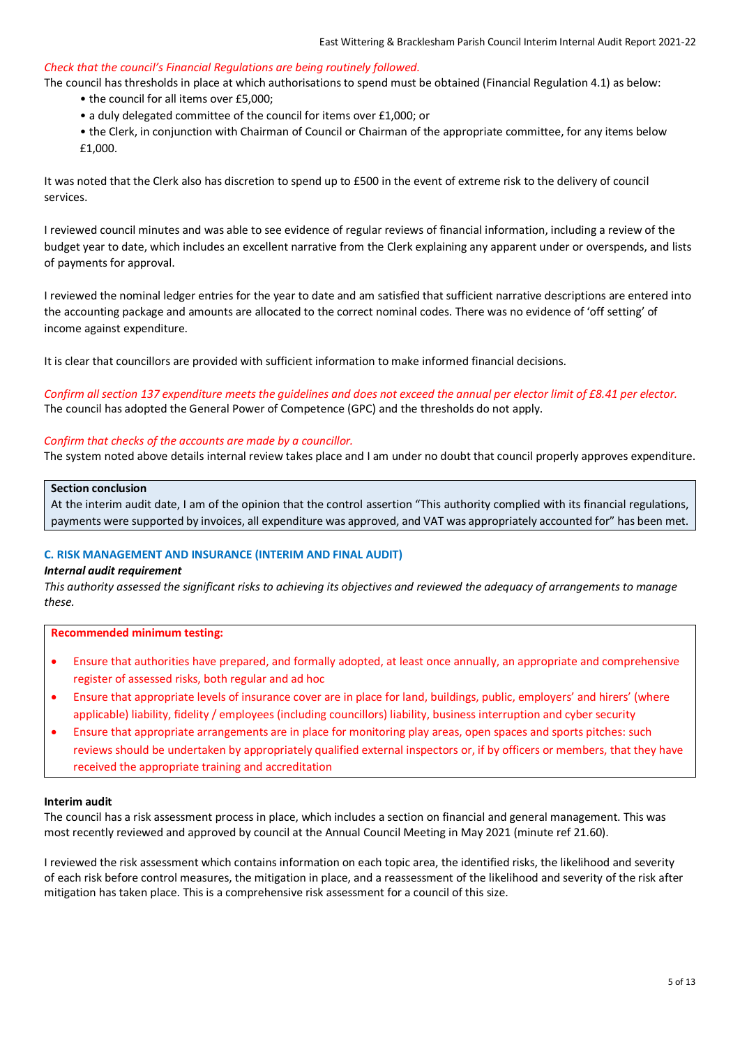### *Check that the council's Financial Regulations are being routinely followed.*

The council has thresholds in place at which authorisations to spend must be obtained (Financial Regulation 4.1) as below:

- the council for all items over £5,000;
- a duly delegated committee of the council for items over £1,000; or
- the Clerk, in conjunction with Chairman of Council or Chairman of the appropriate committee, for any items below £1,000.

It was noted that the Clerk also has discretion to spend up to £500 in the event of extreme risk to the delivery of council services.

I reviewed council minutes and was able to see evidence of regular reviews of financial information, including a review of the budget year to date, which includes an excellent narrative from the Clerk explaining any apparent under or overspends, and lists of payments for approval.

I reviewed the nominal ledger entries for the year to date and am satisfied that sufficient narrative descriptions are entered into the accounting package and amounts are allocated to the correct nominal codes. There was no evidence of 'off setting' of income against expenditure.

It is clear that councillors are provided with sufficient information to make informed financial decisions.

*Confirm all section 137 expenditure meets the guidelines and does not exceed the annual per elector limit of £8.41 per elector.* The council has adopted the General Power of Competence (GPC) and the thresholds do not apply.

### *Confirm that checks of the accounts are made by a councillor.*

The system noted above details internal review takes place and I am under no doubt that council properly approves expenditure.

#### **Section conclusion**

At the interim audit date, I am of the opinion that the control assertion "This authority complied with its financial regulations, payments were supported by invoices, all expenditure was approved, and VAT was appropriately accounted for" has been met.

# **C. RISK MANAGEMENT AND INSURANCE (INTERIM AND FINAL AUDIT)**

#### *Internal audit requirement*

*This authority assessed the significant risks to achieving its objectives and reviewed the adequacy of arrangements to manage these.*

**Recommended minimum testing:**

- Ensure that authorities have prepared, and formally adopted, at least once annually, an appropriate and comprehensive register of assessed risks, both regular and ad hoc
- Ensure that appropriate levels of insurance cover are in place for land, buildings, public, employers' and hirers' (where applicable) liability, fidelity / employees (including councillors) liability, business interruption and cyber security
- Ensure that appropriate arrangements are in place for monitoring play areas, open spaces and sports pitches: such reviews should be undertaken by appropriately qualified external inspectors or, if by officers or members, that they have received the appropriate training and accreditation

#### **Interim audit**

The council has a risk assessment process in place, which includes a section on financial and general management. This was most recently reviewed and approved by council at the Annual Council Meeting in May 2021 (minute ref 21.60).

I reviewed the risk assessment which contains information on each topic area, the identified risks, the likelihood and severity of each risk before control measures, the mitigation in place, and a reassessment of the likelihood and severity of the risk after mitigation has taken place. This is a comprehensive risk assessment for a council of this size.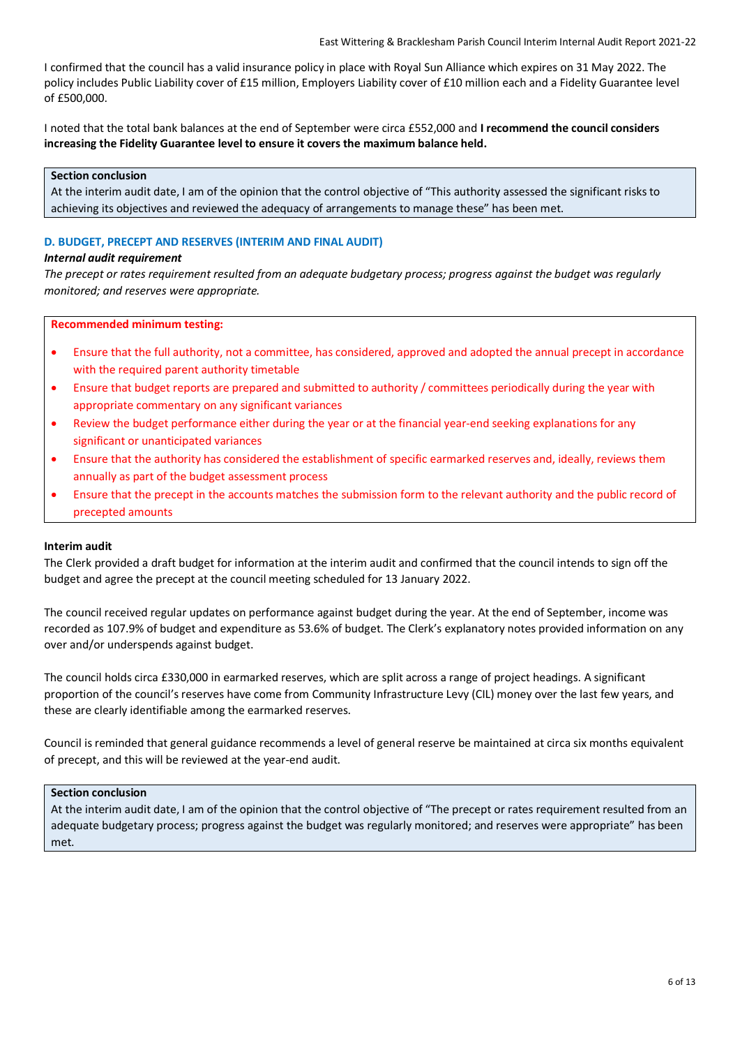I confirmed that the council has a valid insurance policy in place with Royal Sun Alliance which expires on 31 May 2022. The policy includes Public Liability cover of £15 million, Employers Liability cover of £10 million each and a Fidelity Guarantee level of £500,000.

I noted that the total bank balances at the end of September were circa £552,000 and **I recommend the council considers increasing the Fidelity Guarantee level to ensure it covers the maximum balance held.**

# **Section conclusion**

At the interim audit date, I am of the opinion that the control objective of "This authority assessed the significant risks to achieving its objectives and reviewed the adequacy of arrangements to manage these" has been met.

# **D. BUDGET, PRECEPT AND RESERVES (INTERIM AND FINAL AUDIT)**

# *Internal audit requirement*

*The precept or rates requirement resulted from an adequate budgetary process; progress against the budget was regularly monitored; and reserves were appropriate.*

#### **Recommended minimum testing:**

- Ensure that the full authority, not a committee, has considered, approved and adopted the annual precept in accordance with the required parent authority timetable
- Ensure that budget reports are prepared and submitted to authority / committees periodically during the year with appropriate commentary on any significant variances
- Review the budget performance either during the year or at the financial year-end seeking explanations for any significant or unanticipated variances
- Ensure that the authority has considered the establishment of specific earmarked reserves and, ideally, reviews them annually as part of the budget assessment process
- Ensure that the precept in the accounts matches the submission form to the relevant authority and the public record of precepted amounts

# **Interim audit**

The Clerk provided a draft budget for information at the interim audit and confirmed that the council intends to sign off the budget and agree the precept at the council meeting scheduled for 13 January 2022.

The council received regular updates on performance against budget during the year. At the end of September, income was recorded as 107.9% of budget and expenditure as 53.6% of budget. The Clerk's explanatory notes provided information on any over and/or underspends against budget.

The council holds circa £330,000 in earmarked reserves, which are split across a range of project headings. A significant proportion of the council's reserves have come from Community Infrastructure Levy (CIL) money over the last few years, and these are clearly identifiable among the earmarked reserves.

Council is reminded that general guidance recommends a level of general reserve be maintained at circa six months equivalent of precept, and this will be reviewed at the year-end audit.

# **Section conclusion**

At the interim audit date, I am of the opinion that the control objective of "The precept or rates requirement resulted from an adequate budgetary process; progress against the budget was regularly monitored; and reserves were appropriate" has been met.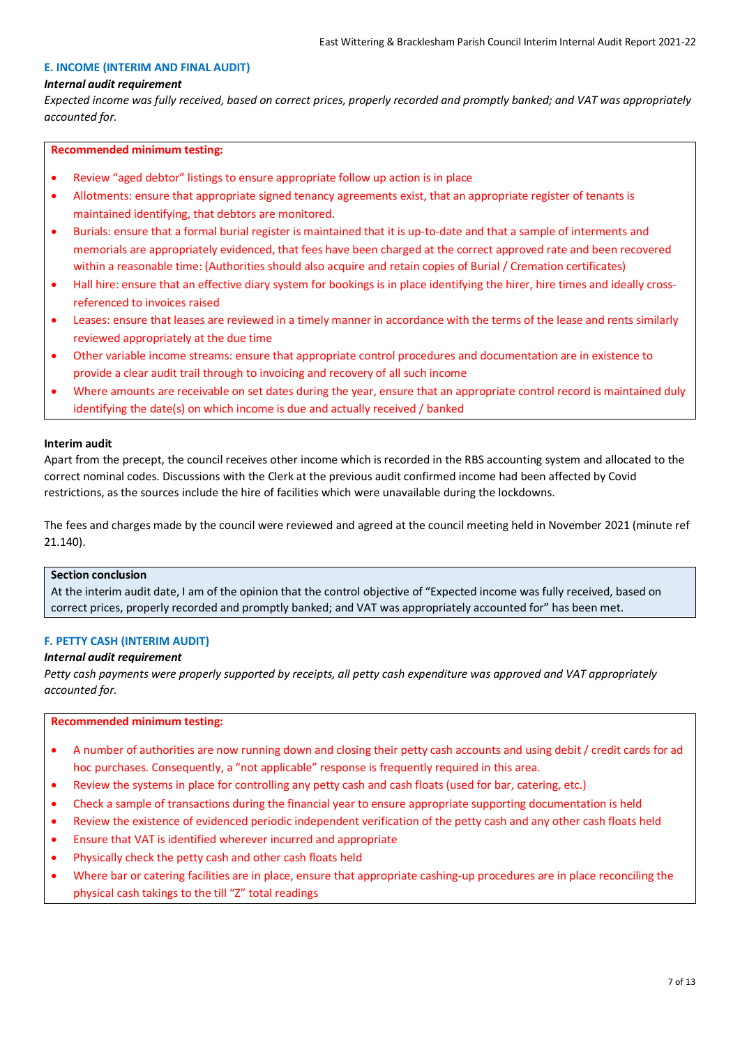# **E. INCOME (INTERIM AND FINAL AUDIT)**

### *Internal audit requirement*

*Expected income was fully received, based on correct prices, properly recorded and promptly banked; and VAT was appropriately accounted for.*

#### **Recommended minimum testing:**

- Review "aged debtor" listings to ensure appropriate follow up action is in place
- Allotments: ensure that appropriate signed tenancy agreements exist, that an appropriate register of tenants is maintained identifying, that debtors are monitored.
- Burials: ensure that a formal burial register is maintained that it is up-to-date and that a sample of interments and memorials are appropriately evidenced, that fees have been charged at the correct approved rate and been recovered within a reasonable time: (Authorities should also acquire and retain copies of Burial / Cremation certificates)
- Hall hire: ensure that an effective diary system for bookings is in place identifying the hirer, hire times and ideally crossreferenced to invoices raised
- Leases: ensure that leases are reviewed in a timely manner in accordance with the terms of the lease and rents similarly reviewed appropriately at the due time
- Other variable income streams: ensure that appropriate control procedures and documentation are in existence to provide a clear audit trail through to invoicing and recovery of all such income
- Where amounts are receivable on set dates during the year, ensure that an appropriate control record is maintained duly identifying the date(s) on which income is due and actually received / banked

#### **Interim audit**

Apart from the precept, the council receives other income which is recorded in the RBS accounting system and allocated to the correct nominal codes. Discussions with the Clerk at the previous audit confirmed income had been affected by Covid restrictions, as the sources include the hire of facilities which were unavailable during the lockdowns.

The fees and charges made by the council were reviewed and agreed at the council meeting held in November 2021 (minute ref 21.140).

#### **Section conclusion**

At the interim audit date, I am of the opinion that the control objective of "Expected income was fully received, based on correct prices, properly recorded and promptly banked; and VAT was appropriately accounted for" has been met.

#### **F. PETTY CASH (INTERIM AUDIT)**

#### *Internal audit requirement*

*Petty cash payments were properly supported by receipts, all petty cash expenditure was approved and VAT appropriately accounted for.*

### **Recommended minimum testing:**

- A number of authorities are now running down and closing their petty cash accounts and using debit / credit cards for ad hoc purchases. Consequently, a "not applicable" response is frequently required in this area.
- Review the systems in place for controlling any petty cash and cash floats (used for bar, catering, etc.)
- Check a sample of transactions during the financial year to ensure appropriate supporting documentation is held
- Review the existence of evidenced periodic independent verification of the petty cash and any other cash floats held
- Ensure that VAT is identified wherever incurred and appropriate
- Physically check the petty cash and other cash floats held
- Where bar or catering facilities are in place, ensure that appropriate cashing-up procedures are in place reconciling the physical cash takings to the till "Z" total readings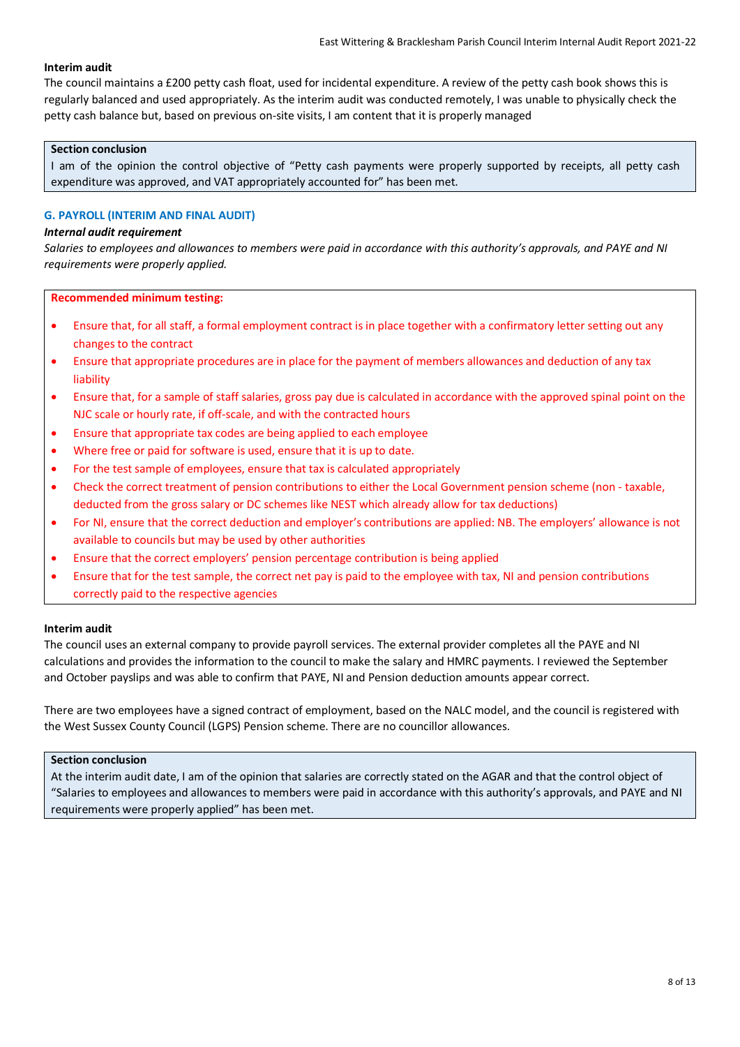# **Interim audit**

The council maintains a £200 petty cash float, used for incidental expenditure. A review of the petty cash book shows this is regularly balanced and used appropriately. As the interim audit was conducted remotely, I was unable to physically check the petty cash balance but, based on previous on-site visits, I am content that it is properly managed

# **Section conclusion**

I am of the opinion the control objective of "Petty cash payments were properly supported by receipts, all petty cash expenditure was approved, and VAT appropriately accounted for" has been met.

# **G. PAYROLL (INTERIM AND FINAL AUDIT)**

# *Internal audit requirement*

*Salaries to employees and allowances to members were paid in accordance with this authority's approvals, and PAYE and NI requirements were properly applied.*

**Recommended minimum testing:**

- Ensure that, for all staff, a formal employment contract is in place together with a confirmatory letter setting out any changes to the contract
- Ensure that appropriate procedures are in place for the payment of members allowances and deduction of any tax liability
- Ensure that, for a sample of staff salaries, gross pay due is calculated in accordance with the approved spinal point on the NJC scale or hourly rate, if off-scale, and with the contracted hours
- Ensure that appropriate tax codes are being applied to each employee
- Where free or paid for software is used, ensure that it is up to date.
- For the test sample of employees, ensure that tax is calculated appropriately
- Check the correct treatment of pension contributions to either the Local Government pension scheme (non taxable, deducted from the gross salary or DC schemes like NEST which already allow for tax deductions)
- For NI, ensure that the correct deduction and employer's contributions are applied: NB. The employers' allowance is not available to councils but may be used by other authorities
- Ensure that the correct employers' pension percentage contribution is being applied
- Ensure that for the test sample, the correct net pay is paid to the employee with tax, NI and pension contributions correctly paid to the respective agencies

# **Interim audit**

The council uses an external company to provide payroll services. The external provider completes all the PAYE and NI calculations and provides the information to the council to make the salary and HMRC payments. I reviewed the September and October payslips and was able to confirm that PAYE, NI and Pension deduction amounts appear correct.

There are two employees have a signed contract of employment, based on the NALC model, and the council is registered with the West Sussex County Council (LGPS) Pension scheme. There are no councillor allowances.

# **Section conclusion**

At the interim audit date, I am of the opinion that salaries are correctly stated on the AGAR and that the control object of "Salaries to employees and allowances to members were paid in accordance with this authority's approvals, and PAYE and NI requirements were properly applied" has been met.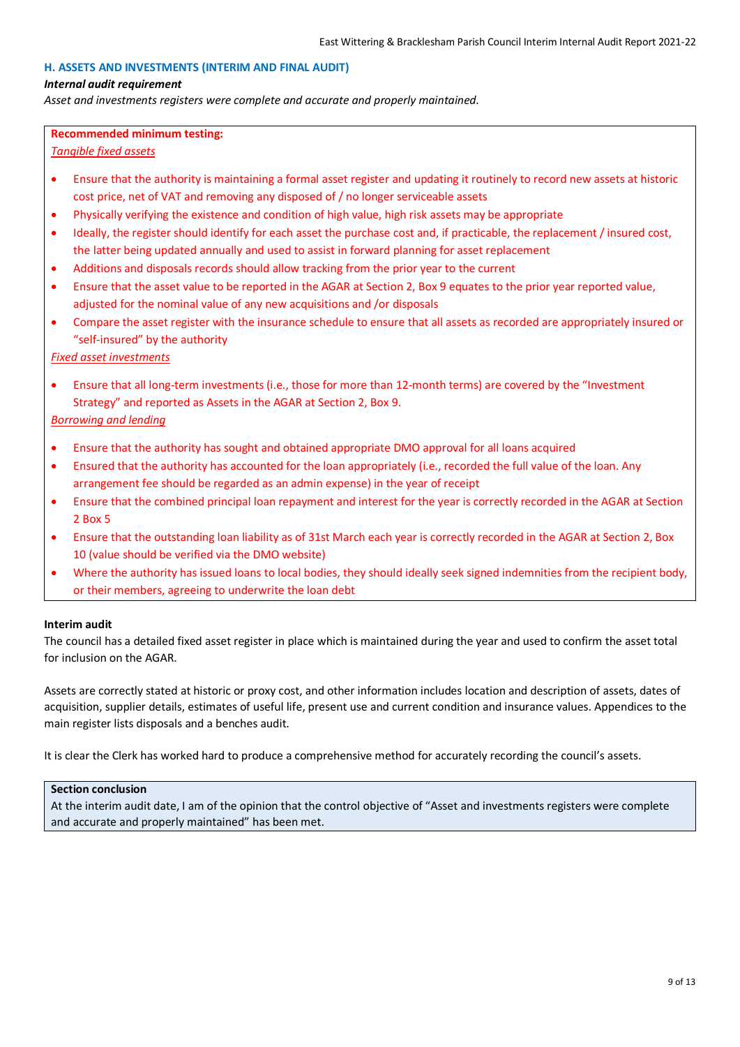# **H. ASSETS AND INVESTMENTS (INTERIM AND FINAL AUDIT)**

#### *Internal audit requirement*

*Asset and investments registers were complete and accurate and properly maintained.*

#### **Recommended minimum testing:**

*Tangible fixed assets*

- Ensure that the authority is maintaining a formal asset register and updating it routinely to record new assets at historic cost price, net of VAT and removing any disposed of / no longer serviceable assets
- Physically verifying the existence and condition of high value, high risk assets may be appropriate
- Ideally, the register should identify for each asset the purchase cost and, if practicable, the replacement / insured cost, the latter being updated annually and used to assist in forward planning for asset replacement
- Additions and disposals records should allow tracking from the prior year to the current
- Ensure that the asset value to be reported in the AGAR at Section 2, Box 9 equates to the prior year reported value, adjusted for the nominal value of any new acquisitions and /or disposals
- Compare the asset register with the insurance schedule to ensure that all assets as recorded are appropriately insured or "self-insured" by the authority

*Fixed asset investments*

• Ensure that all long-term investments (i.e., those for more than 12-month terms) are covered by the "Investment Strategy" and reported as Assets in the AGAR at Section 2, Box 9.

*Borrowing and lending*

- Ensure that the authority has sought and obtained appropriate DMO approval for all loans acquired
- Ensured that the authority has accounted for the loan appropriately (i.e., recorded the full value of the loan. Any arrangement fee should be regarded as an admin expense) in the year of receipt
- Ensure that the combined principal loan repayment and interest for the year is correctly recorded in the AGAR at Section 2 Box 5
- Ensure that the outstanding loan liability as of 31st March each year is correctly recorded in the AGAR at Section 2, Box 10 (value should be verified via the DMO website)
- Where the authority has issued loans to local bodies, they should ideally seek signed indemnities from the recipient body, or their members, agreeing to underwrite the loan debt

# **Interim audit**

The council has a detailed fixed asset register in place which is maintained during the year and used to confirm the asset total for inclusion on the AGAR.

Assets are correctly stated at historic or proxy cost, and other information includes location and description of assets, dates of acquisition, supplier details, estimates of useful life, present use and current condition and insurance values. Appendices to the main register lists disposals and a benches audit.

It is clear the Clerk has worked hard to produce a comprehensive method for accurately recording the council's assets.

#### **Section conclusion**

At the interim audit date, I am of the opinion that the control objective of "Asset and investments registers were complete and accurate and properly maintained" has been met.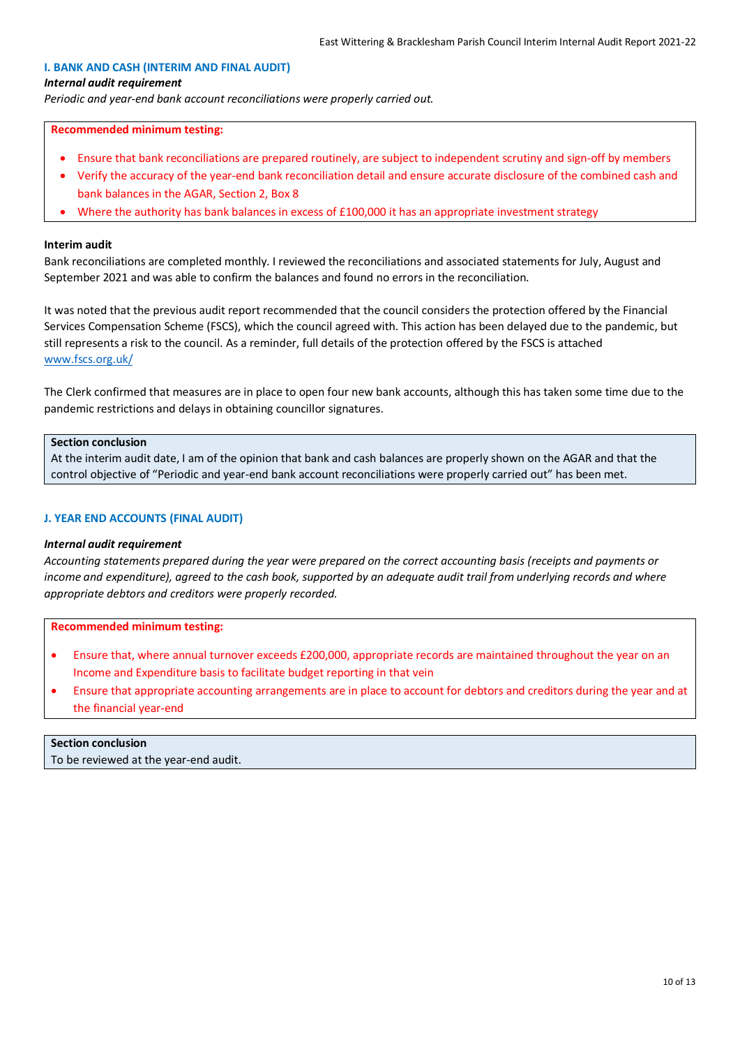# **I. BANK AND CASH (INTERIM AND FINAL AUDIT)**

#### *Internal audit requirement*

*Periodic and year-end bank account reconciliations were properly carried out.*

#### **Recommended minimum testing:**

- Ensure that bank reconciliations are prepared routinely, are subject to independent scrutiny and sign-off by members
- Verify the accuracy of the year-end bank reconciliation detail and ensure accurate disclosure of the combined cash and bank balances in the AGAR, Section 2, Box 8
- Where the authority has bank balances in excess of £100,000 it has an appropriate investment strategy

#### **Interim audit**

Bank reconciliations are completed monthly. I reviewed the reconciliations and associated statements for July, August and September 2021 and was able to confirm the balances and found no errors in the reconciliation.

It was noted that the previous audit report recommended that the council considers the protection offered by the Financial Services Compensation Scheme (FSCS), which the council agreed with. This action has been delayed due to the pandemic, but still represents a risk to the council. As a reminder, full details of the protection offered by the FSCS is attached [www.fscs.org.uk/](https://www.fscs.org.uk/)

The Clerk confirmed that measures are in place to open four new bank accounts, although this has taken some time due to the pandemic restrictions and delays in obtaining councillor signatures.

#### **Section conclusion**

At the interim audit date, I am of the opinion that bank and cash balances are properly shown on the AGAR and that the control objective of "Periodic and year-end bank account reconciliations were properly carried out" has been met.

### **J. YEAR END ACCOUNTS (FINAL AUDIT)**

#### *Internal audit requirement*

*Accounting statements prepared during the year were prepared on the correct accounting basis (receipts and payments or income and expenditure), agreed to the cash book, supported by an adequate audit trail from underlying records and where appropriate debtors and creditors were properly recorded.*

#### **Recommended minimum testing:**

- Ensure that, where annual turnover exceeds £200,000, appropriate records are maintained throughout the year on an Income and Expenditure basis to facilitate budget reporting in that vein
- Ensure that appropriate accounting arrangements are in place to account for debtors and creditors during the year and at the financial year-end

# **Section conclusion**

To be reviewed at the year-end audit.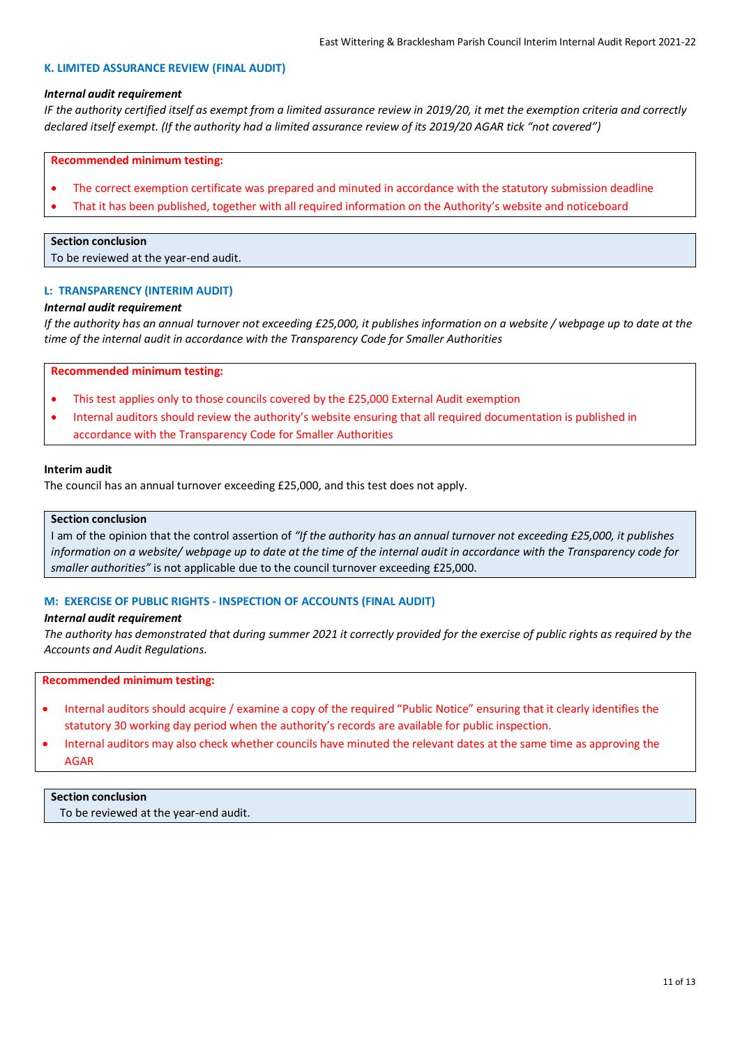#### **K. LIMITED ASSURANCE REVIEW (FINAL AUDIT)**

#### *Internal audit requirement*

*IF the authority certified itself as exempt from a limited assurance review in 2019/20, it met the exemption criteria and correctly declared itself exempt. (If the authority had a limited assurance review of its 2019/20 AGAR tick "not covered")*

#### **Recommended minimum testing:**

- The correct exemption certificate was prepared and minuted in accordance with the statutory submission deadline
- That it has been published, together with all required information on the Authority's website and noticeboard

# **Section conclusion**

To be reviewed at the year-end audit.

#### **L: TRANSPARENCY (INTERIM AUDIT)**

#### *Internal audit requirement*

*If the authority has an annual turnover not exceeding £25,000, it publishes information on a website / webpage up to date at the time of the internal audit in accordance with the Transparency Code for Smaller Authorities*

#### **Recommended minimum testing:**

- This test applies only to those councils covered by the £25,000 External Audit exemption
- Internal auditors should review the authority's website ensuring that all required documentation is published in accordance with the Transparency Code for Smaller Authorities

#### **Interim audit**

The council has an annual turnover exceeding £25,000, and this test does not apply.

#### **Section conclusion**

I am of the opinion that the control assertion of *"If the authority has an annual turnover not exceeding £25,000, it publishes information on a website/ webpage up to date at the time of the internal audit in accordance with the Transparency code for smaller authorities"* is not applicable due to the council turnover exceeding £25,000.

#### **M: EXERCISE OF PUBLIC RIGHTS - INSPECTION OF ACCOUNTS (FINAL AUDIT)**

#### *Internal audit requirement*

*The authority has demonstrated that during summer 2021 it correctly provided for the exercise of public rights as required by the Accounts and Audit Regulations*.

#### **Recommended minimum testing:**

- Internal auditors should acquire / examine a copy of the required "Public Notice" ensuring that it clearly identifies the statutory 30 working day period when the authority's records are available for public inspection.
- Internal auditors may also check whether councils have minuted the relevant dates at the same time as approving the AGAR

# **Section conclusion**

To be reviewed at the year-end audit.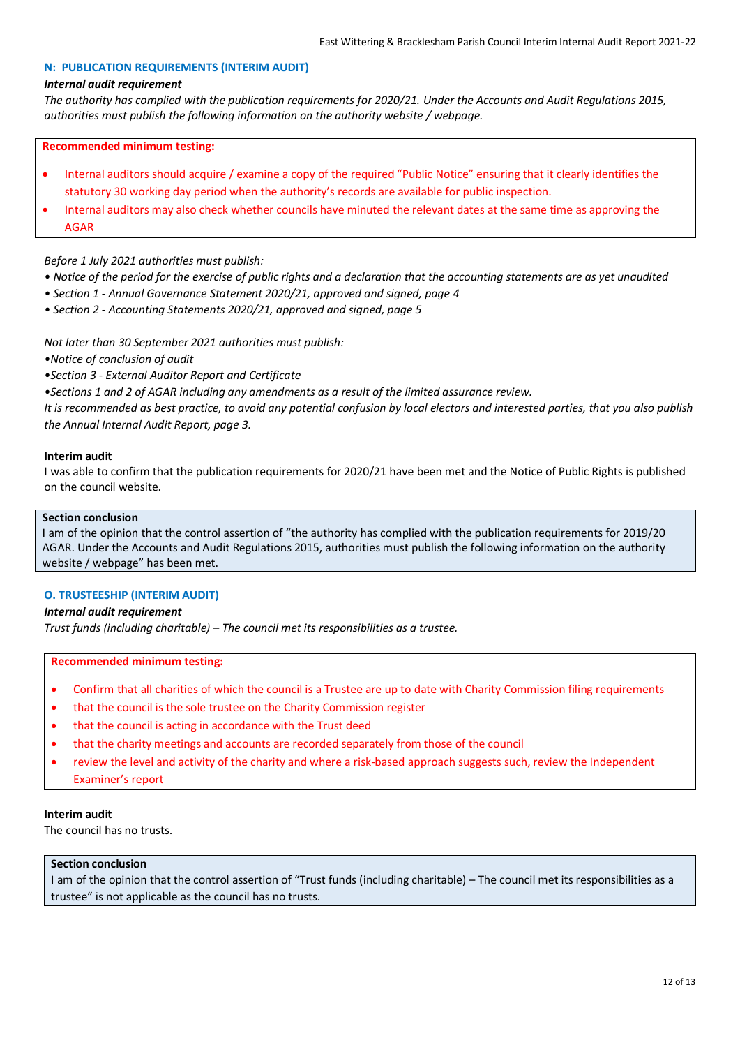### **N: PUBLICATION REQUIREMENTS (INTERIM AUDIT)**

#### *Internal audit requirement*

*The authority has complied with the publication requirements for 2020/21. Under the Accounts and Audit Regulations 2015, authorities must publish the following information on the authority website / webpage.*

#### **Recommended minimum testing:**

- Internal auditors should acquire / examine a copy of the required "Public Notice" ensuring that it clearly identifies the statutory 30 working day period when the authority's records are available for public inspection.
- Internal auditors may also check whether councils have minuted the relevant dates at the same time as approving the AGAR

### *Before 1 July 2021 authorities must publish:*

- *Notice of the period for the exercise of public rights and a declaration that the accounting statements are as yet unaudited*
- *Section 1 - Annual Governance Statement 2020/21, approved and signed, page 4*
- *Section 2 - Accounting Statements 2020/21, approved and signed, page 5*

*Not later than 30 September 2021 authorities must publish:*

*•Notice of conclusion of audit*

*•Section 3 - External Auditor Report and Certificate*

*•Sections 1 and 2 of AGAR including any amendments as a result of the limited assurance review.*

*It is recommended as best practice, to avoid any potential confusion by local electors and interested parties, that you also publish the Annual Internal Audit Report, page 3.*

#### **Interim audit**

I was able to confirm that the publication requirements for 2020/21 have been met and the Notice of Public Rights is published on the council website.

#### **Section conclusion**

I am of the opinion that the control assertion of "the authority has complied with the publication requirements for 2019/20 AGAR. Under the Accounts and Audit Regulations 2015, authorities must publish the following information on the authority website / webpage" has been met.

# **O. TRUSTEESHIP (INTERIM AUDIT)**

# *Internal audit requirement*

*Trust funds (including charitable) – The council met its responsibilities as a trustee.*

#### **Recommended minimum testing:**

- Confirm that all charities of which the council is a Trustee are up to date with Charity Commission filing requirements
- that the council is the sole trustee on the Charity Commission register
- that the council is acting in accordance with the Trust deed
- that the charity meetings and accounts are recorded separately from those of the council
- review the level and activity of the charity and where a risk-based approach suggests such, review the Independent Examiner's report

# **Interim audit**

The council has no trusts.

#### **Section conclusion**

I am of the opinion that the control assertion of "Trust funds (including charitable) – The council met its responsibilities as a trustee" is not applicable as the council has no trusts.